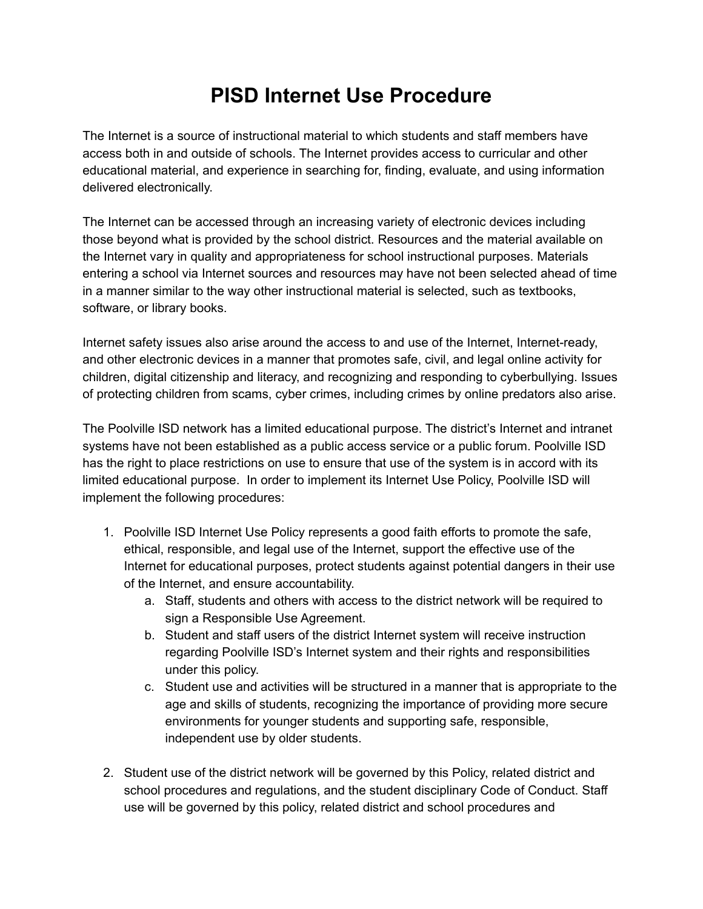## **PISD Internet Use Procedure**

The Internet is a source of instructional material to which students and staff members have access both in and outside of schools. The Internet provides access to curricular and other educational material, and experience in searching for, finding, evaluate, and using information delivered electronically.

The Internet can be accessed through an increasing variety of electronic devices including those beyond what is provided by the school district. Resources and the material available on the Internet vary in quality and appropriateness for school instructional purposes. Materials entering a school via Internet sources and resources may have not been selected ahead of time in a manner similar to the way other instructional material is selected, such as textbooks, software, or library books.

Internet safety issues also arise around the access to and use of the Internet, Internet-ready, and other electronic devices in a manner that promotes safe, civil, and legal online activity for children, digital citizenship and literacy, and recognizing and responding to cyberbullying. Issues of protecting children from scams, cyber crimes, including crimes by online predators also arise.

The Poolville ISD network has a limited educational purpose. The district's Internet and intranet systems have not been established as a public access service or a public forum. Poolville ISD has the right to place restrictions on use to ensure that use of the system is in accord with its limited educational purpose. In order to implement its Internet Use Policy, Poolville ISD will implement the following procedures:

- 1. Poolville ISD Internet Use Policy represents a good faith efforts to promote the safe, ethical, responsible, and legal use of the Internet, support the effective use of the Internet for educational purposes, protect students against potential dangers in their use of the Internet, and ensure accountability.
	- a. Staff, students and others with access to the district network will be required to sign a Responsible Use Agreement.
	- b. Student and staff users of the district Internet system will receive instruction regarding Poolville ISD's Internet system and their rights and responsibilities under this policy.
	- c. Student use and activities will be structured in a manner that is appropriate to the age and skills of students, recognizing the importance of providing more secure environments for younger students and supporting safe, responsible, independent use by older students.
- 2. Student use of the district network will be governed by this Policy, related district and school procedures and regulations, and the student disciplinary Code of Conduct. Staff use will be governed by this policy, related district and school procedures and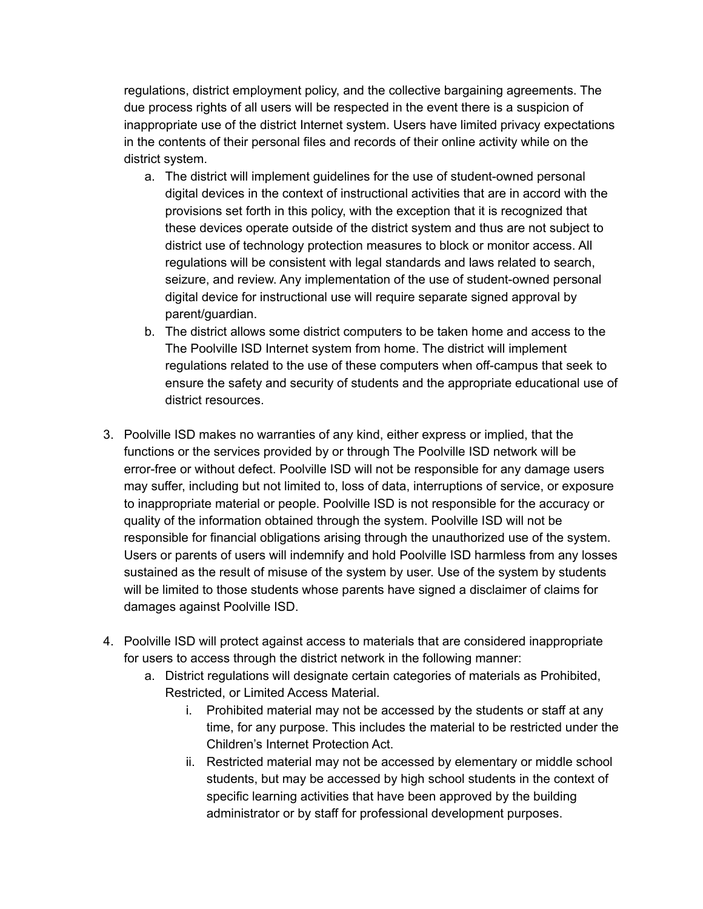regulations, district employment policy, and the collective bargaining agreements. The due process rights of all users will be respected in the event there is a suspicion of inappropriate use of the district Internet system. Users have limited privacy expectations in the contents of their personal files and records of their online activity while on the district system.

- a. The district will implement guidelines for the use of student-owned personal digital devices in the context of instructional activities that are in accord with the provisions set forth in this policy, with the exception that it is recognized that these devices operate outside of the district system and thus are not subject to district use of technology protection measures to block or monitor access. All regulations will be consistent with legal standards and laws related to search, seizure, and review. Any implementation of the use of student-owned personal digital device for instructional use will require separate signed approval by parent/guardian.
- b. The district allows some district computers to be taken home and access to the The Poolville ISD Internet system from home. The district will implement regulations related to the use of these computers when off-campus that seek to ensure the safety and security of students and the appropriate educational use of district resources.
- 3. Poolville ISD makes no warranties of any kind, either express or implied, that the functions or the services provided by or through The Poolville ISD network will be error-free or without defect. Poolville ISD will not be responsible for any damage users may suffer, including but not limited to, loss of data, interruptions of service, or exposure to inappropriate material or people. Poolville ISD is not responsible for the accuracy or quality of the information obtained through the system. Poolville ISD will not be responsible for financial obligations arising through the unauthorized use of the system. Users or parents of users will indemnify and hold Poolville ISD harmless from any losses sustained as the result of misuse of the system by user. Use of the system by students will be limited to those students whose parents have signed a disclaimer of claims for damages against Poolville ISD.
- 4. Poolville ISD will protect against access to materials that are considered inappropriate for users to access through the district network in the following manner:
	- a. District regulations will designate certain categories of materials as Prohibited, Restricted, or Limited Access Material.
		- i. Prohibited material may not be accessed by the students or staff at any time, for any purpose. This includes the material to be restricted under the Children's Internet Protection Act.
		- ii. Restricted material may not be accessed by elementary or middle school students, but may be accessed by high school students in the context of specific learning activities that have been approved by the building administrator or by staff for professional development purposes.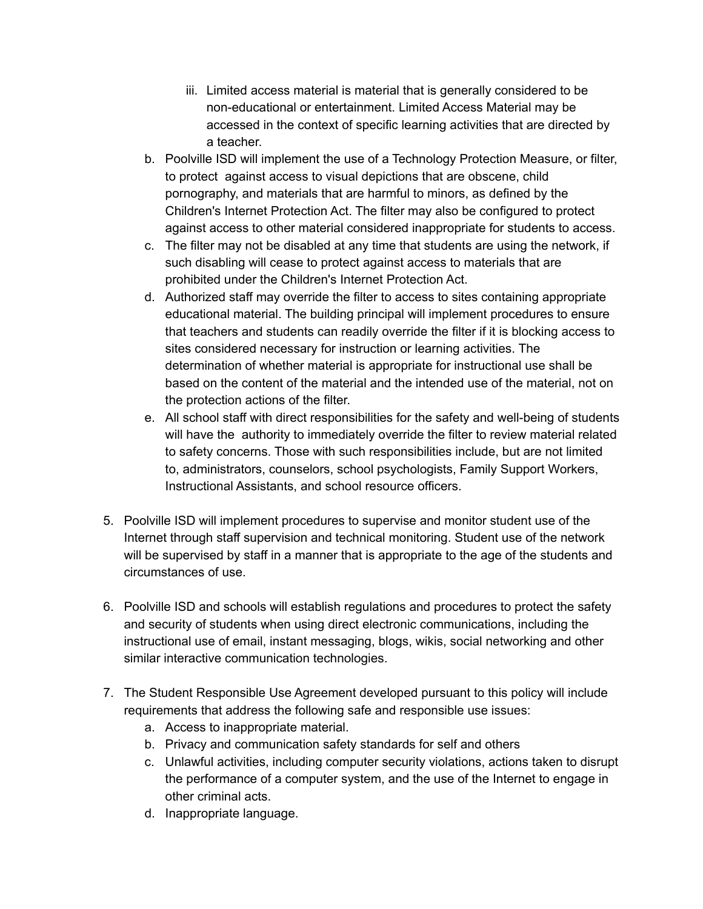- iii. Limited access material is material that is generally considered to be non-educational or entertainment. Limited Access Material may be accessed in the context of specific learning activities that are directed by a teacher.
- b. Poolville ISD will implement the use of a Technology Protection Measure, or filter, to protect against access to visual depictions that are obscene, child pornography, and materials that are harmful to minors, as defined by the Children's Internet Protection Act. The filter may also be configured to protect against access to other material considered inappropriate for students to access.
- c. The filter may not be disabled at any time that students are using the network, if such disabling will cease to protect against access to materials that are prohibited under the Children's Internet Protection Act.
- d. Authorized staff may override the filter to access to sites containing appropriate educational material. The building principal will implement procedures to ensure that teachers and students can readily override the filter if it is blocking access to sites considered necessary for instruction or learning activities. The determination of whether material is appropriate for instructional use shall be based on the content of the material and the intended use of the material, not on the protection actions of the filter.
- e. All school staff with direct responsibilities for the safety and well-being of students will have the authority to immediately override the filter to review material related to safety concerns. Those with such responsibilities include, but are not limited to, administrators, counselors, school psychologists, Family Support Workers, Instructional Assistants, and school resource officers.
- 5. Poolville ISD will implement procedures to supervise and monitor student use of the Internet through staff supervision and technical monitoring. Student use of the network will be supervised by staff in a manner that is appropriate to the age of the students and circumstances of use.
- 6. Poolville ISD and schools will establish regulations and procedures to protect the safety and security of students when using direct electronic communications, including the instructional use of email, instant messaging, blogs, wikis, social networking and other similar interactive communication technologies.
- 7. The Student Responsible Use Agreement developed pursuant to this policy will include requirements that address the following safe and responsible use issues:
	- a. Access to inappropriate material.
	- b. Privacy and communication safety standards for self and others
	- c. Unlawful activities, including computer security violations, actions taken to disrupt the performance of a computer system, and the use of the Internet to engage in other criminal acts.
	- d. Inappropriate language.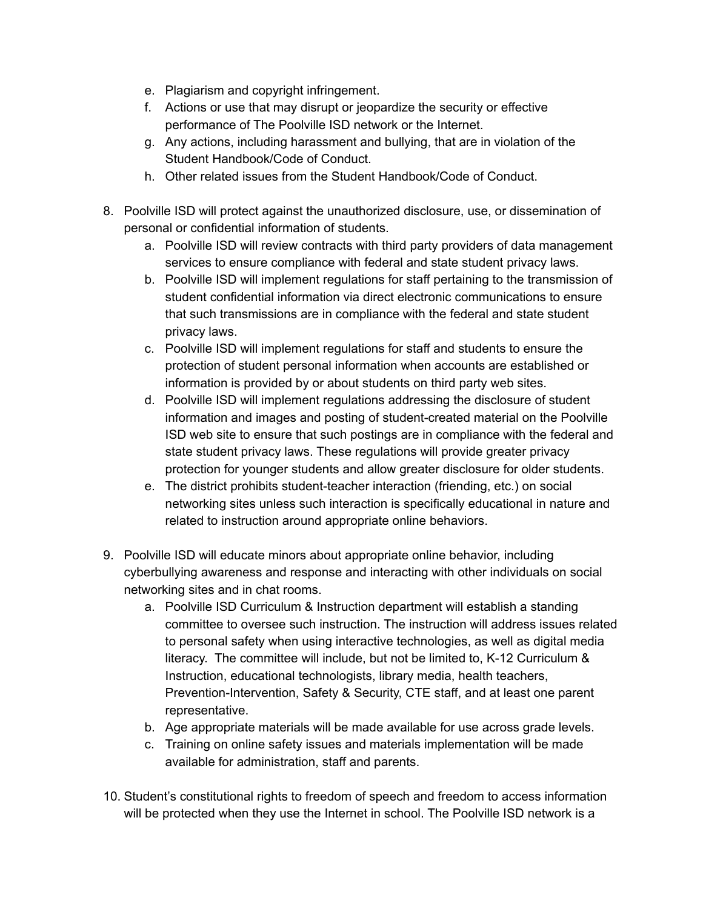- e. Plagiarism and copyright infringement.
- f. Actions or use that may disrupt or jeopardize the security or effective performance of The Poolville ISD network or the Internet.
- g. Any actions, including harassment and bullying, that are in violation of the Student Handbook/Code of Conduct.
- h. Other related issues from the Student Handbook/Code of Conduct.
- 8. Poolville ISD will protect against the unauthorized disclosure, use, or dissemination of personal or confidential information of students.
	- a. Poolville ISD will review contracts with third party providers of data management services to ensure compliance with federal and state student privacy laws.
	- b. Poolville ISD will implement regulations for staff pertaining to the transmission of student confidential information via direct electronic communications to ensure that such transmissions are in compliance with the federal and state student privacy laws.
	- c. Poolville ISD will implement regulations for staff and students to ensure the protection of student personal information when accounts are established or information is provided by or about students on third party web sites.
	- d. Poolville ISD will implement regulations addressing the disclosure of student information and images and posting of student-created material on the Poolville ISD web site to ensure that such postings are in compliance with the federal and state student privacy laws. These regulations will provide greater privacy protection for younger students and allow greater disclosure for older students.
	- e. The district prohibits student-teacher interaction (friending, etc.) on social networking sites unless such interaction is specifically educational in nature and related to instruction around appropriate online behaviors.
- 9. Poolville ISD will educate minors about appropriate online behavior, including cyberbullying awareness and response and interacting with other individuals on social networking sites and in chat rooms.
	- a. Poolville ISD Curriculum & Instruction department will establish a standing committee to oversee such instruction. The instruction will address issues related to personal safety when using interactive technologies, as well as digital media literacy. The committee will include, but not be limited to, K-12 Curriculum & Instruction, educational technologists, library media, health teachers, Prevention-Intervention, Safety & Security, CTE staff, and at least one parent representative.
	- b. Age appropriate materials will be made available for use across grade levels.
	- c. Training on online safety issues and materials implementation will be made available for administration, staff and parents.
- 10. Student's constitutional rights to freedom of speech and freedom to access information will be protected when they use the Internet in school. The Poolville ISD network is a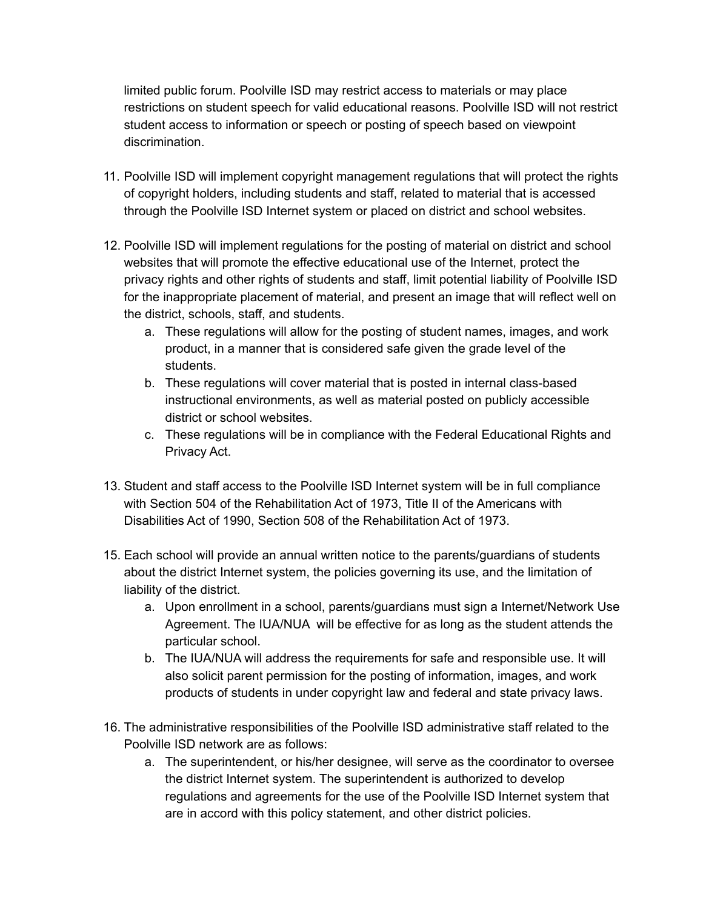limited public forum. Poolville ISD may restrict access to materials or may place restrictions on student speech for valid educational reasons. Poolville ISD will not restrict student access to information or speech or posting of speech based on viewpoint discrimination.

- 11. Poolville ISD will implement copyright management regulations that will protect the rights of copyright holders, including students and staff, related to material that is accessed through the Poolville ISD Internet system or placed on district and school websites.
- 12. Poolville ISD will implement regulations for the posting of material on district and school websites that will promote the effective educational use of the Internet, protect the privacy rights and other rights of students and staff, limit potential liability of Poolville ISD for the inappropriate placement of material, and present an image that will reflect well on the district, schools, staff, and students.
	- a. These regulations will allow for the posting of student names, images, and work product, in a manner that is considered safe given the grade level of the students.
	- b. These regulations will cover material that is posted in internal class-based instructional environments, as well as material posted on publicly accessible district or school websites.
	- c. These regulations will be in compliance with the Federal Educational Rights and Privacy Act.
- 13. Student and staff access to the Poolville ISD Internet system will be in full compliance with Section 504 of the Rehabilitation Act of 1973, Title II of the Americans with Disabilities Act of 1990, Section 508 of the Rehabilitation Act of 1973.
- 15. Each school will provide an annual written notice to the parents/guardians of students about the district Internet system, the policies governing its use, and the limitation of liability of the district.
	- a. Upon enrollment in a school, parents/guardians must sign a Internet/Network Use Agreement. The IUA/NUA will be effective for as long as the student attends the particular school.
	- b. The IUA/NUA will address the requirements for safe and responsible use. It will also solicit parent permission for the posting of information, images, and work products of students in under copyright law and federal and state privacy laws.
- 16. The administrative responsibilities of the Poolville ISD administrative staff related to the Poolville ISD network are as follows:
	- a. The superintendent, or his/her designee, will serve as the coordinator to oversee the district Internet system. The superintendent is authorized to develop regulations and agreements for the use of the Poolville ISD Internet system that are in accord with this policy statement, and other district policies.